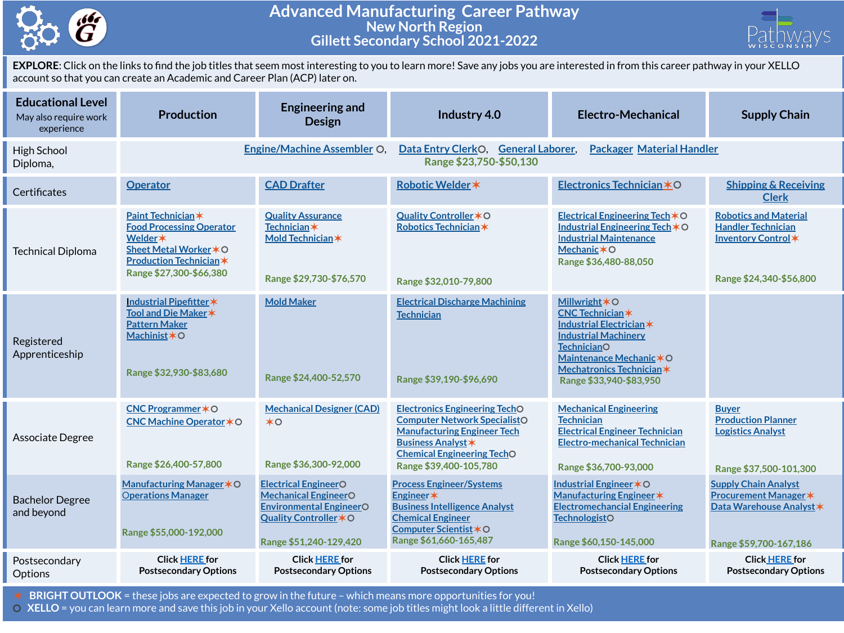

## **Advanced Manufacturing Career Pathway New North Region Gillett Secondary School 2021-2022**



**EXPLORE**: Click on the links to find the job titles that seem most interesting to you to learn more! Save any jobs you are interested in from this career pathway in your XELLO account so that you can create an Academic and Career Plan (ACP) later on.

| <b>Educational Level</b><br>May also require work<br>experience | <b>Production</b>                                                                                                                                       | <b>Engineering and</b><br><b>Design</b>                                                                                                          | Industry 4.0                                                                                                                                                                                                  | <b>Electro-Mechanical</b>                                                                                                                                                                                                       | <b>Supply Chain</b>                                                                                               |  |  |
|-----------------------------------------------------------------|---------------------------------------------------------------------------------------------------------------------------------------------------------|--------------------------------------------------------------------------------------------------------------------------------------------------|---------------------------------------------------------------------------------------------------------------------------------------------------------------------------------------------------------------|---------------------------------------------------------------------------------------------------------------------------------------------------------------------------------------------------------------------------------|-------------------------------------------------------------------------------------------------------------------|--|--|
| High School<br>Diploma,                                         |                                                                                                                                                         | <b>Engine/Machine Assembler O.</b>                                                                                                               | <b>Packager Material Handler</b><br>Data Entry ClerkO,<br><b>General Laborer,</b><br>Range \$23,750-\$50,130                                                                                                  |                                                                                                                                                                                                                                 |                                                                                                                   |  |  |
| Certificates                                                    | <b>Operator</b>                                                                                                                                         | <b>CAD Drafter</b>                                                                                                                               | Robotic Welder *                                                                                                                                                                                              | Electronics Technician *O                                                                                                                                                                                                       | <b>Shipping &amp; Receiving</b><br><b>Clerk</b>                                                                   |  |  |
| <b>Technical Diploma</b>                                        | Paint Technician *<br><b>Food Processing Operator</b><br>Welder *<br>Sheet Metal Worker * O<br><b>Production Technician*</b><br>Range \$27,300-\$66,380 | <b>Quality Assurance</b><br><b>Technician</b> *<br>Mold Technician *<br>Range \$29,730-\$76,570                                                  | Quality Controller * O<br>Robotics Technician*<br>Range \$32,010-79,800                                                                                                                                       | Electrical Engineering Tech $*$ O<br>Industrial Engineering Tech *O<br><b>Industrial Maintenance</b><br>Mechanic $*$ O<br>Range \$36,480-88,050                                                                                 | <b>Robotics and Material</b><br><b>Handler Technician</b><br>Inventory Control *<br>Range \$24,340-\$56,800       |  |  |
| Registered<br>Apprenticeship                                    | Industrial Pipefitter*<br>Tool and Die Maker *<br><b>Pattern Maker</b><br>Machinist*O<br>Range \$32,930-\$83,680                                        | <b>Mold Maker</b><br>Range \$24,400-52,570                                                                                                       | <b>Electrical Discharge Machining</b><br><b>Technician</b><br>Range \$39,190-\$96,690                                                                                                                         | <b>Millwright <math>*</math>O</b><br><b>CNC Technician*</b><br>Industrial Electrician*<br><b>Industrial Machinery</b><br><b>TechnicianO</b><br>Maintenance Mechanic * O<br>Mechatronics Technician *<br>Range \$33,940-\$83,950 |                                                                                                                   |  |  |
| Associate Degree                                                | CNC Programmer * O<br>CNC Machine Operator * O<br>Range \$26,400-57,800                                                                                 | <b>Mechanical Designer (CAD)</b><br>$*$ o<br>Range \$36,300-92,000                                                                               | <b>Electronics Engineering TechO</b><br><b>Computer Network SpecialistO</b><br><b>Manufacturing Engineer Tech</b><br><b>Business Analyst *</b><br><b>Chemical Engineering TechO</b><br>Range \$39,400-105,780 | <b>Mechanical Engineering</b><br><b>Technician</b><br><b>Electrical Engineer Technician</b><br><b>Electro-mechanical Technician</b><br>Range \$36,700-93,000                                                                    | <b>Buyer</b><br><b>Production Planner</b><br><b>Logistics Analyst</b><br>Range \$37,500-101,300                   |  |  |
| <b>Bachelor Degree</b><br>and beyond                            | Manufacturing Manager $*$ O<br><b>Operations Manager</b><br>Range \$55,000-192,000                                                                      | <b>Electrical EngineerO</b><br><b>Mechanical EngineerO</b><br><b>Environmental EngineerO</b><br>Quality Controller * O<br>Range \$51,240-129,420 | <b>Process Engineer/Systems</b><br>Engineer*<br><b>Business Intelligence Analyst</b><br><b>Chemical Engineer</b><br>Computer Scientist *O<br>Range \$61,660-165,487                                           | Industrial Engineer * O<br>Manufacturing Engineer *<br><b>Electromechancial Engineering</b><br><b>TechnologistO</b><br>Range \$60,150-145,000                                                                                   | <b>Supply Chain Analyst</b><br><b>Procurement Manager *</b><br>Data Warehouse Analyst *<br>Range \$59,700-167,186 |  |  |
| Postsecondary<br>Options                                        | <b>Click HERE for</b><br><b>Postsecondary Options</b>                                                                                                   | <b>Click HERE for</b><br><b>Postsecondary Options</b>                                                                                            | <b>Click HERE for</b><br><b>Postsecondary Options</b>                                                                                                                                                         | <b>Click HERE for</b><br><b>Postsecondary Options</b>                                                                                                                                                                           | <b>Click HERE for</b><br><b>Postsecondary Options</b>                                                             |  |  |

✶ **BRIGHT OUTLOOK** = these jobs are expected to grow in the future – which means more opportunities for you!

⚪ **XELLO** = you can learn more and save this job in your Xello account (note: some job titles might look a little different in Xello)